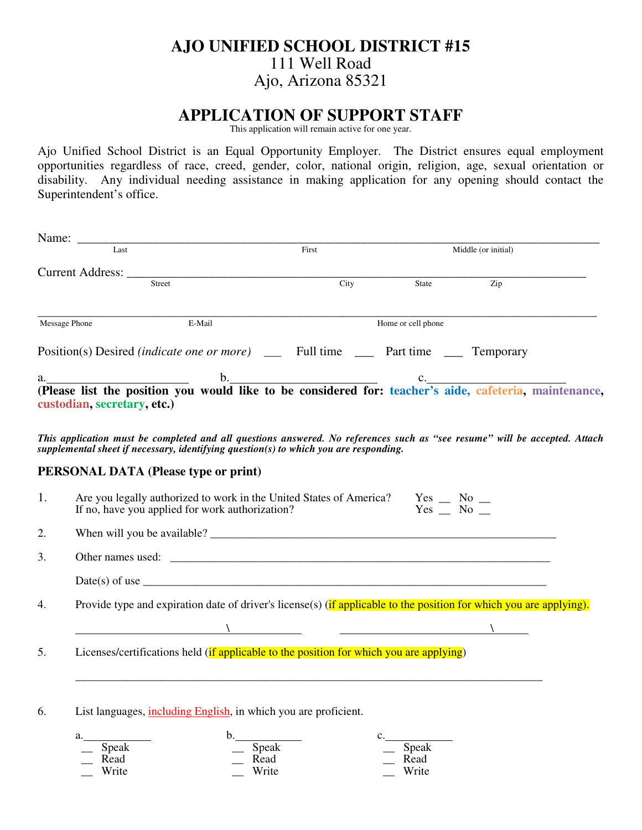# **AJO UNIFIED SCHOOL DISTRICT #15** 111 Well Road Ajo, Arizona 85321

## **APPLICATION OF SUPPORT STAFF**

This application will remain active for one year.

Ajo Unified School District is an Equal Opportunity Employer. The District ensures equal employment opportunities regardless of race, creed, gender, color, national origin, religion, age, sexual orientation or disability. Any individual needing assistance in making application for any opening should contact the Superintendent's office.

| Last          |                                                                                                                                                        | First                                                                                   |      | Middle (or initial) |                                                                                                                            |  |
|---------------|--------------------------------------------------------------------------------------------------------------------------------------------------------|-----------------------------------------------------------------------------------------|------|---------------------|----------------------------------------------------------------------------------------------------------------------------|--|
|               | Current Address: _____                                                                                                                                 |                                                                                         |      |                     |                                                                                                                            |  |
|               | Street                                                                                                                                                 |                                                                                         | City | State               | Zip                                                                                                                        |  |
| Message Phone |                                                                                                                                                        | E-Mail                                                                                  |      | Home or cell phone  |                                                                                                                            |  |
|               | Position(s) Desired <i>(indicate one or more</i> ) _____ Full time _____ Part time ____ Temporary                                                      |                                                                                         |      |                     |                                                                                                                            |  |
|               |                                                                                                                                                        |                                                                                         |      |                     | a.<br>(Please list the position you would like to be considered for: teacher's aide, cafeteria, maintenance,               |  |
|               | custodian, secretary, etc.)<br>supplemental sheet if necessary, identifying question(s) to which you are responding.                                   |                                                                                         |      |                     | This application must be completed and all questions answered. No references such as "see resume" will be accepted. Attach |  |
|               | <b>PERSONAL DATA (Please type or print)</b>                                                                                                            |                                                                                         |      |                     |                                                                                                                            |  |
| 1.            | Are you legally authorized to work in the United States of America? Yes _ No _<br>If no, have you applied for work authorization?<br>$Yes$ $No$ $\_\_$ |                                                                                         |      |                     |                                                                                                                            |  |
| 2.            |                                                                                                                                                        |                                                                                         |      |                     |                                                                                                                            |  |
| 3.            |                                                                                                                                                        |                                                                                         |      |                     |                                                                                                                            |  |
|               |                                                                                                                                                        |                                                                                         |      |                     |                                                                                                                            |  |
| 4.            |                                                                                                                                                        |                                                                                         |      |                     | Provide type and expiration date of driver's license(s) (if applicable to the position for which you are applying).        |  |
|               |                                                                                                                                                        |                                                                                         |      |                     |                                                                                                                            |  |
| 5.            |                                                                                                                                                        | Licenses/certifications held (if applicable to the position for which you are applying) |      |                     |                                                                                                                            |  |
| 6.            |                                                                                                                                                        | List languages, <i>including English</i> , in which you are proficient.                 |      |                     |                                                                                                                            |  |
|               |                                                                                                                                                        |                                                                                         |      |                     |                                                                                                                            |  |
|               | a.<br>Speak                                                                                                                                            | b.<br>Speak                                                                             |      | c.<br>Speak         |                                                                                                                            |  |
|               | Read<br>Write                                                                                                                                          | Read<br>Write                                                                           |      | Read<br>Write       |                                                                                                                            |  |
|               |                                                                                                                                                        |                                                                                         |      |                     |                                                                                                                            |  |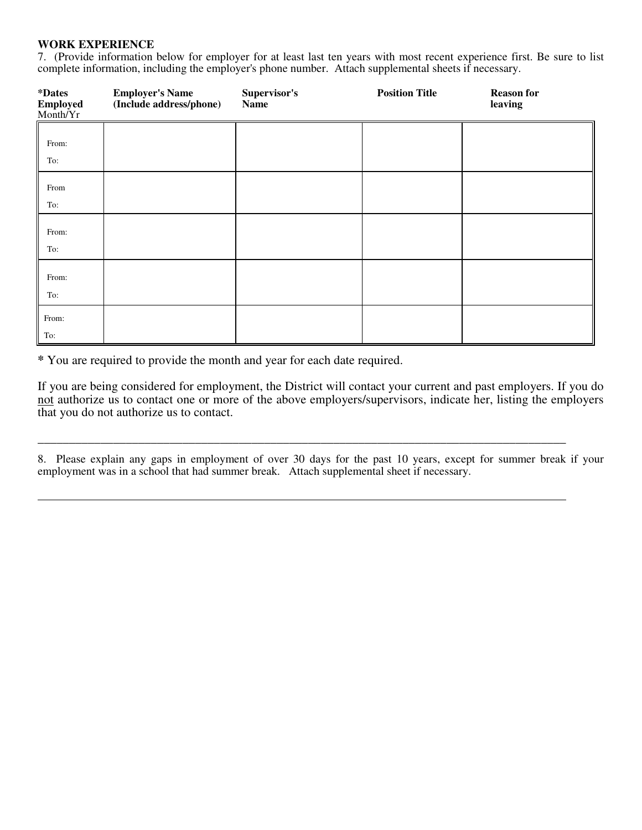#### **WORK EXPERIENCE**

7. (Provide information below for employer for at least last ten years with most recent experience first. Be sure to list complete information, including the employer's phone number. Attach supplemental sheets if necessary.

| <i><b>*Dates</b></i><br><b>Employed</b><br>Month/Yr | <b>Employer's Name</b><br>(Include address/phone) | Supervisor's<br>Name | <b>Position Title</b> | <b>Reason for</b><br>leaving |
|-----------------------------------------------------|---------------------------------------------------|----------------------|-----------------------|------------------------------|
| From:<br>To:                                        |                                                   |                      |                       |                              |
| From<br>To:                                         |                                                   |                      |                       |                              |
| From:<br>To:                                        |                                                   |                      |                       |                              |
| From:<br>To:                                        |                                                   |                      |                       |                              |
| From:<br>To:                                        |                                                   |                      |                       |                              |

**\*** You are required to provide the month and year for each date required.

If you are being considered for employment, the District will contact your current and past employers. If you do not authorize us to contact one or more of the above employers/supervisors, indicate her, listing the employers that you do not authorize us to contact.

8. Please explain any gaps in employment of over 30 days for the past 10 years, except for summer break if your employment was in a school that had summer break. Attach supplemental sheet if necessary.

\_\_\_\_\_\_\_\_\_\_\_\_\_\_\_\_\_\_\_\_\_\_\_\_\_\_\_\_\_\_\_\_\_\_\_\_\_\_\_\_\_\_\_\_\_\_\_\_\_\_\_\_\_\_\_\_\_\_\_\_\_\_\_\_\_\_\_\_\_\_\_\_\_\_\_\_\_\_\_\_\_\_\_\_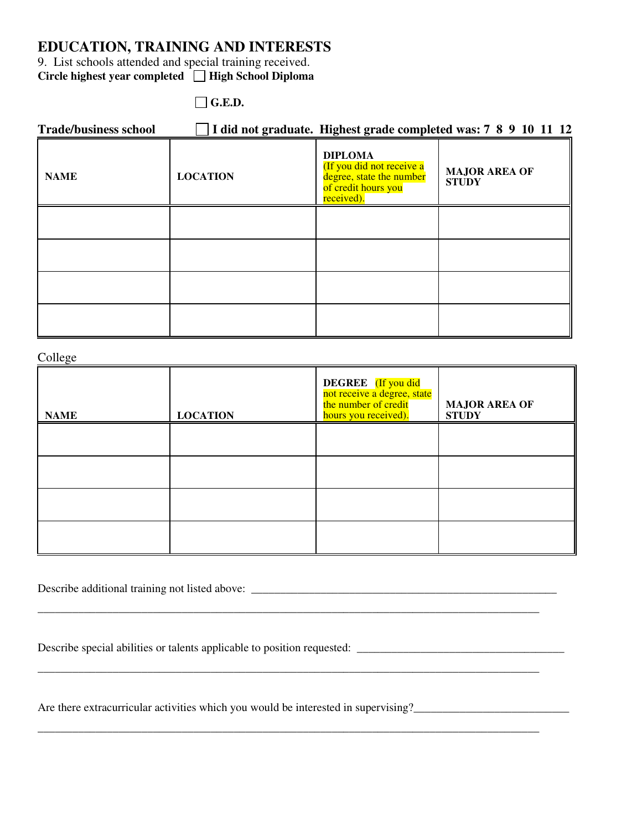# **EDUCATION, TRAINING AND INTERESTS**

9. List schools attended and special training received. Circle highest year completed  $\Box$  High School Diploma

 $\Box$  G.E.D.

| <b>Trade/business school</b> |                 |                                                                                                              | I did not graduate. Highest grade completed was: 7 8 9 10 11 12 |
|------------------------------|-----------------|--------------------------------------------------------------------------------------------------------------|-----------------------------------------------------------------|
| <b>NAME</b>                  | <b>LOCATION</b> | <b>DIPLOMA</b><br>(If you did not receive a<br>degree, state the number<br>of credit hours you<br>received). | <b>MAJOR AREA OF</b><br><b>STUDY</b>                            |
|                              |                 |                                                                                                              |                                                                 |
|                              |                 |                                                                                                              |                                                                 |
|                              |                 |                                                                                                              |                                                                 |
|                              |                 |                                                                                                              |                                                                 |

| College     |                 |                                                                                                   |                                      |  |  |
|-------------|-----------------|---------------------------------------------------------------------------------------------------|--------------------------------------|--|--|
| <b>NAME</b> | <b>LOCATION</b> | DEGREE (If you did<br>not receive a degree, state<br>the number of credit<br>hours you received). | <b>MAJOR AREA OF</b><br><b>STUDY</b> |  |  |
|             |                 |                                                                                                   |                                      |  |  |
|             |                 |                                                                                                   |                                      |  |  |
|             |                 |                                                                                                   |                                      |  |  |
|             |                 |                                                                                                   |                                      |  |  |

\_\_\_\_\_\_\_\_\_\_\_\_\_\_\_\_\_\_\_\_\_\_\_\_\_\_\_\_\_\_\_\_\_\_\_\_\_\_\_\_\_\_\_\_\_\_\_\_\_\_\_\_\_\_\_\_\_\_\_\_\_\_\_\_\_\_\_\_\_\_\_\_\_\_\_\_\_\_\_\_\_\_\_\_\_\_\_

\_\_\_\_\_\_\_\_\_\_\_\_\_\_\_\_\_\_\_\_\_\_\_\_\_\_\_\_\_\_\_\_\_\_\_\_\_\_\_\_\_\_\_\_\_\_\_\_\_\_\_\_\_\_\_\_\_\_\_\_\_\_\_\_\_\_\_\_\_\_\_\_\_\_\_\_\_\_\_\_\_\_\_\_\_\_\_

\_\_\_\_\_\_\_\_\_\_\_\_\_\_\_\_\_\_\_\_\_\_\_\_\_\_\_\_\_\_\_\_\_\_\_\_\_\_\_\_\_\_\_\_\_\_\_\_\_\_\_\_\_\_\_\_\_\_\_\_\_\_\_\_\_\_\_\_\_\_\_\_\_\_\_\_\_\_\_\_\_\_\_\_\_\_\_

Describe additional training not listed above: \_\_\_\_\_\_\_\_\_\_\_\_\_\_\_\_\_\_\_\_\_\_\_\_\_\_\_\_\_\_\_\_\_\_\_\_\_\_\_\_\_\_\_\_\_\_\_\_\_\_\_\_\_

Describe special abilities or talents applicable to position requested: \_\_\_\_\_\_\_\_\_\_\_\_\_\_\_\_\_\_\_\_\_\_\_\_\_\_\_\_\_\_\_\_\_\_\_\_

Are there extracurricular activities which you would be interested in supervising?\_\_\_\_\_\_\_\_\_\_\_\_\_\_\_\_\_\_\_\_\_\_\_\_\_\_\_\_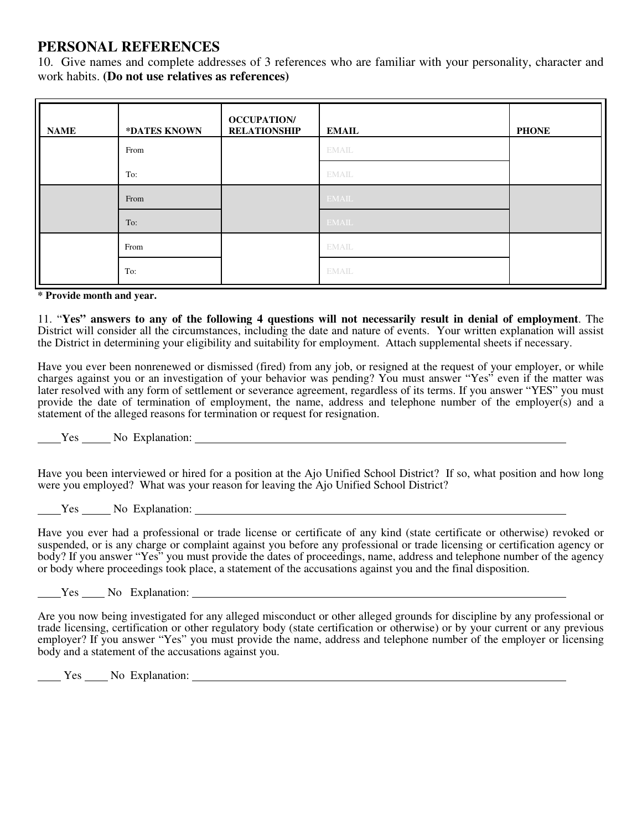# **PERSONAL REFERENCES**

10. Give names and complete addresses of 3 references who are familiar with your personality, character and work habits. **(Do not use relatives as references)** 

| <b>NAME</b> | *DATES KNOWN | <b>OCCUPATION</b><br><b>RELATIONSHIP</b> | <b>EMAIL</b> | <b>PHONE</b> |
|-------------|--------------|------------------------------------------|--------------|--------------|
|             | From         |                                          | <b>EMAIL</b> |              |
|             | To:          |                                          | <b>EMAIL</b> |              |
|             | From         |                                          | <b>EMAIL</b> |              |
|             | To:          |                                          | <b>EMAIL</b> |              |
|             | From         |                                          | <b>EMAIL</b> |              |
|             | To:          |                                          | <b>EMAIL</b> |              |

#### **\* Provide month and year.**

11. "**Yes" answers to any of the following 4 questions will not necessarily result in denial of employment**. The District will consider all the circumstances, including the date and nature of events. Your written explanation will assist the District in determining your eligibility and suitability for employment. Attach supplemental sheets if necessary.

Have you ever been nonrenewed or dismissed (fired) from any job, or resigned at the request of your employer, or while charges against you or an investigation of your behavior was pending? You must answer "Yes" even if the matter was later resolved with any form of settlement or severance agreement, regardless of its terms. If you answer "YES" you must provide the date of termination of employment, the name, address and telephone number of the employer(s) and a statement of the alleged reasons for termination or request for resignation.

Yes No Explanation:

Have you been interviewed or hired for a position at the Ajo Unified School District? If so, what position and how long were you employed? What was your reason for leaving the Ajo Unified School District?

Yes No Explanation:

Have you ever had a professional or trade license or certificate of any kind (state certificate or otherwise) revoked or suspended, or is any charge or complaint against you before any professional or trade licensing or certification agency or body? If you answer "Yes" you must provide the dates of proceedings, name, address and telephone number of the agency or body where proceedings took place, a statement of the accusations against you and the final disposition.

Yes No Explanation:

Are you now being investigated for any alleged misconduct or other alleged grounds for discipline by any professional or trade licensing, certification or other regulatory body (state certification or otherwise) or by your current or any previous employer? If you answer "Yes" you must provide the name, address and telephone number of the employer or licensing body and a statement of the accusations against you.

Yes No Explanation: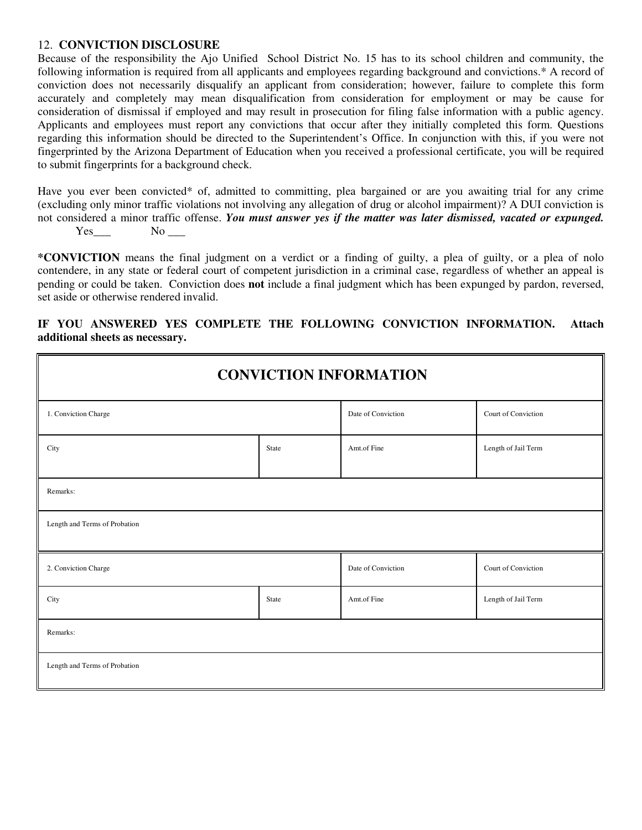#### 12. **CONVICTION DISCLOSURE**

Because of the responsibility the Ajo Unified School District No. 15 has to its school children and community, the following information is required from all applicants and employees regarding background and convictions.\* A record of conviction does not necessarily disqualify an applicant from consideration; however, failure to complete this form accurately and completely may mean disqualification from consideration for employment or may be cause for consideration of dismissal if employed and may result in prosecution for filing false information with a public agency. Applicants and employees must report any convictions that occur after they initially completed this form. Questions regarding this information should be directed to the Superintendent's Office. In conjunction with this, if you were not fingerprinted by the Arizona Department of Education when you received a professional certificate, you will be required to submit fingerprints for a background check.

Have you ever been convicted\* of, admitted to committing, plea bargained or are you awaiting trial for any crime (excluding only minor traffic violations not involving any allegation of drug or alcohol impairment)? A DUI conviction is not considered a minor traffic offense. *You must answer yes if the matter was later dismissed, vacated or expunged.*  $Yes$  No  $\_\_$ 

**\*CONVICTION** means the final judgment on a verdict or a finding of guilty, a plea of guilty, or a plea of nolo contendere, in any state or federal court of competent jurisdiction in a criminal case, regardless of whether an appeal is pending or could be taken. Conviction does **not** include a final judgment which has been expunged by pardon, reversed, set aside or otherwise rendered invalid.

### **IF YOU ANSWERED YES COMPLETE THE FOLLOWING CONVICTION INFORMATION. Attach additional sheets as necessary.**

| <b>CONVICTION INFORMATION</b> |                    |                     |                     |  |  |
|-------------------------------|--------------------|---------------------|---------------------|--|--|
| 1. Conviction Charge          |                    | Date of Conviction  | Court of Conviction |  |  |
| City                          | State              | Amt.of Fine         | Length of Jail Term |  |  |
| Remarks:                      |                    |                     |                     |  |  |
| Length and Terms of Probation |                    |                     |                     |  |  |
| 2. Conviction Charge          | Date of Conviction | Court of Conviction |                     |  |  |
| City                          | State              | Amt.of Fine         | Length of Jail Term |  |  |
| Remarks:                      |                    |                     |                     |  |  |
| Length and Terms of Probation |                    |                     |                     |  |  |